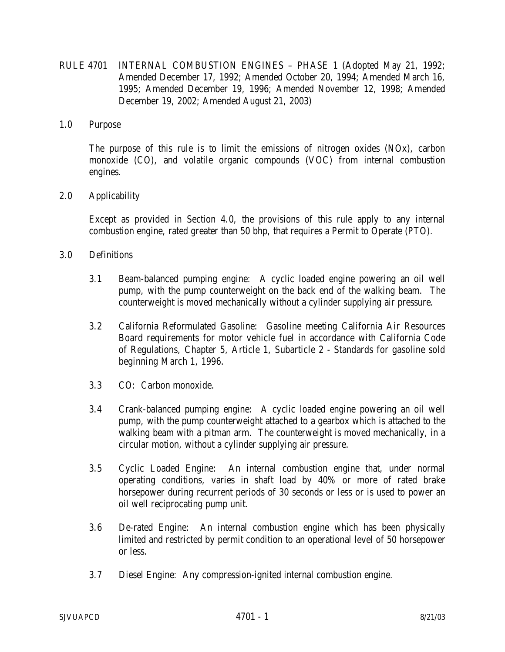RULE 4701 INTERNAL COMBUSTION ENGINES – PHASE 1 (Adopted May 21, 1992; Amended December 17, 1992; Amended October 20, 1994; Amended March 16, 1995; Amended December 19, 1996; Amended November 12, 1998; Amended December 19, 2002; Amended August 21, 2003)

### 1.0 Purpose

The purpose of this rule is to limit the emissions of nitrogen oxides (NOx), carbon monoxide (CO), and volatile organic compounds (VOC) from internal combustion engines.

# 2.0 Applicability

Except as provided in Section 4.0, the provisions of this rule apply to any internal combustion engine, rated greater than 50 bhp, that requires a Permit to Operate (PTO).

## 3.0 Definitions

- 3.1 Beam-balanced pumping engine: A cyclic loaded engine powering an oil well pump, with the pump counterweight on the back end of the walking beam. The counterweight is moved mechanically without a cylinder supplying air pressure.
- 3.2 California Reformulated Gasoline: Gasoline meeting California Air Resources Board requirements for motor vehicle fuel in accordance with California Code of Regulations, Chapter 5, Article 1, Subarticle 2 - Standards for gasoline sold beginning March 1, 1996.
- 3.3 CO: Carbon monoxide.
- 3.4 Crank-balanced pumping engine: A cyclic loaded engine powering an oil well pump, with the pump counterweight attached to a gearbox which is attached to the walking beam with a pitman arm. The counterweight is moved mechanically, in a circular motion, without a cylinder supplying air pressure.
- 3.5 Cyclic Loaded Engine: An internal combustion engine that, under normal operating conditions, varies in shaft load by 40% or more of rated brake horsepower during recurrent periods of 30 seconds or less or is used to power an oil well reciprocating pump unit.
- 3.6 De-rated Engine: An internal combustion engine which has been physically limited and restricted by permit condition to an operational level of 50 horsepower or less.
- 3.7 Diesel Engine: Any compression-ignited internal combustion engine.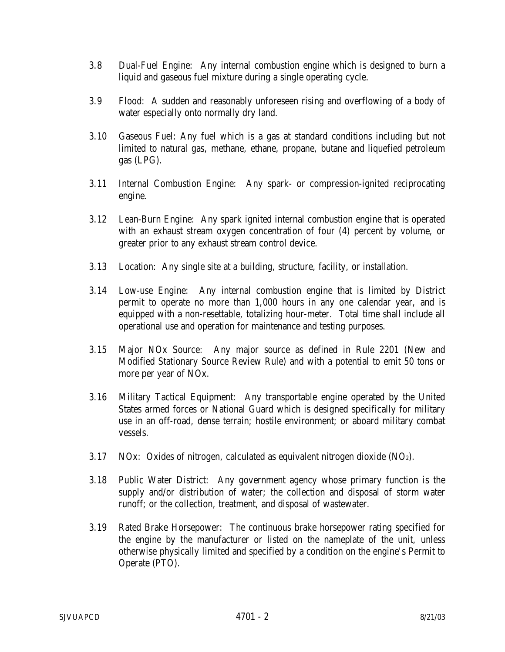- 3.8 Dual-Fuel Engine: Any internal combustion engine which is designed to burn a liquid and gaseous fuel mixture during a single operating cycle.
- 3.9 Flood: A sudden and reasonably unforeseen rising and overflowing of a body of water especially onto normally dry land.
- 3.10 Gaseous Fuel: Any fuel which is a gas at standard conditions including but not limited to natural gas, methane, ethane, propane, butane and liquefied petroleum gas (LPG).
- 3.11 Internal Combustion Engine: Any spark- or compression-ignited reciprocating engine.
- 3.12 Lean-Burn Engine: Any spark ignited internal combustion engine that is operated with an exhaust stream oxygen concentration of four (4) percent by volume, or greater prior to any exhaust stream control device.
- 3.13 Location: Any single site at a building, structure, facility, or installation.
- 3.14 Low-use Engine: Any internal combustion engine that is limited by District permit to operate no more than 1,000 hours in any one calendar year, and is equipped with a non-resettable, totalizing hour-meter. Total time shall include all operational use and operation for maintenance and testing purposes.
- 3.15 Major NOx Source: Any major source as defined in Rule 2201 (New and Modified Stationary Source Review Rule) and with a potential to emit 50 tons or more per year of NOx.
- 3.16 Military Tactical Equipment: Any transportable engine operated by the United States armed forces or National Guard which is designed specifically for military use in an off-road, dense terrain; hostile environment; or aboard military combat vessels.
- 3.17 NOx: Oxides of nitrogen, calculated as equivalent nitrogen dioxide  $(NO<sub>2</sub>)$ .
- 3.18 Public Water District: Any government agency whose primary function is the supply and/or distribution of water; the collection and disposal of storm water runoff; or the collection, treatment, and disposal of wastewater.
- 3.19 Rated Brake Horsepower: The continuous brake horsepower rating specified for the engine by the manufacturer or listed on the nameplate of the unit, unless otherwise physically limited and specified by a condition on the engine's Permit to Operate (PTO).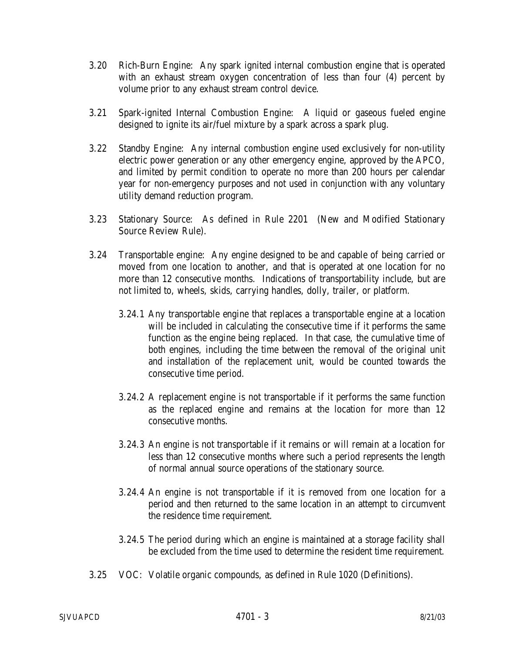- 3.20 Rich-Burn Engine: Any spark ignited internal combustion engine that is operated with an exhaust stream oxygen concentration of less than four (4) percent by volume prior to any exhaust stream control device.
- 3.21 Spark-ignited Internal Combustion Engine: A liquid or gaseous fueled engine designed to ignite its air/fuel mixture by a spark across a spark plug.
- 3.22 Standby Engine: Any internal combustion engine used exclusively for non-utility electric power generation or any other emergency engine, approved by the APCO, and limited by permit condition to operate no more than 200 hours per calendar year for non-emergency purposes and not used in conjunction with any voluntary utility demand reduction program.
- 3.23 Stationary Source: As defined in Rule 2201 (New and Modified Stationary Source Review Rule).
- 3.24 Transportable engine: Any engine designed to be and capable of being carried or moved from one location to another, and that is operated at one location for no more than 12 consecutive months. Indications of transportability include, but are not limited to, wheels, skids, carrying handles, dolly, trailer, or platform.
	- 3.24.1 Any transportable engine that replaces a transportable engine at a location will be included in calculating the consecutive time if it performs the same function as the engine being replaced. In that case, the cumulative time of both engines, including the time between the removal of the original unit and installation of the replacement unit, would be counted towards the consecutive time period.
	- 3.24.2 A replacement engine is not transportable if it performs the same function as the replaced engine and remains at the location for more than 12 consecutive months.
	- 3.24.3 An engine is not transportable if it remains or will remain at a location for less than 12 consecutive months where such a period represents the length of normal annual source operations of the stationary source.
	- 3.24.4 An engine is not transportable if it is removed from one location for a period and then returned to the same location in an attempt to circumvent the residence time requirement.
	- 3.24.5 The period during which an engine is maintained at a storage facility shall be excluded from the time used to determine the resident time requirement.
- 3.25 VOC: Volatile organic compounds, as defined in Rule 1020 (Definitions).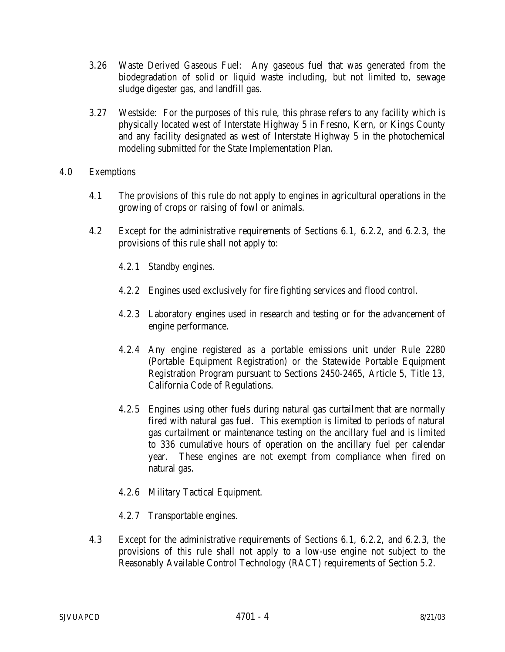- 3.26 Waste Derived Gaseous Fuel: Any gaseous fuel that was generated from the biodegradation of solid or liquid waste including, but not limited to, sewage sludge digester gas, and landfill gas.
- 3.27 Westside: For the purposes of this rule, this phrase refers to any facility which is physically located west of Interstate Highway 5 in Fresno, Kern, or Kings County and any facility designated as west of Interstate Highway 5 in the photochemical modeling submitted for the State Implementation Plan.

## 4.0 Exemptions

- 4.1 The provisions of this rule do not apply to engines in agricultural operations in the growing of crops or raising of fowl or animals.
- 4.2 Except for the administrative requirements of Sections 6.1, 6.2.2, and 6.2.3, the provisions of this rule shall not apply to:
	- 4.2.1 Standby engines.
	- 4.2.2 Engines used exclusively for fire fighting services and flood control.
	- 4.2.3 Laboratory engines used in research and testing or for the advancement of engine performance.
	- 4.2.4 Any engine registered as a portable emissions unit under Rule 2280 (Portable Equipment Registration) or the Statewide Portable Equipment Registration Program pursuant to Sections 2450-2465, Article 5, Title 13, California Code of Regulations.
	- 4.2.5 Engines using other fuels during natural gas curtailment that are normally fired with natural gas fuel. This exemption is limited to periods of natural gas curtailment or maintenance testing on the ancillary fuel and is limited to 336 cumulative hours of operation on the ancillary fuel per calendar year. These engines are not exempt from compliance when fired on natural gas.
	- 4.2.6 Military Tactical Equipment.
	- 4.2.7 Transportable engines.
- 4.3 Except for the administrative requirements of Sections 6.1, 6.2.2, and 6.2.3, the provisions of this rule shall not apply to a low-use engine not subject to the Reasonably Available Control Technology (RACT) requirements of Section 5.2.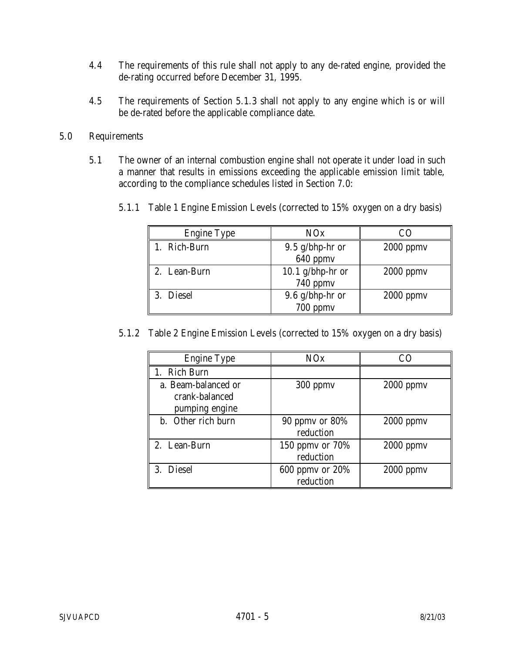- 4.4 The requirements of this rule shall not apply to any de-rated engine, provided the de-rating occurred before December 31, 1995.
- 4.5 The requirements of Section 5.1.3 shall not apply to any engine which is or will be de-rated before the applicable compliance date.

# 5.0 Requirements

5.1 The owner of an internal combustion engine shall not operate it under load in such a manner that results in emissions exceeding the applicable emission limit table, according to the compliance schedules listed in Section 7.0:

| <b>Engine Type</b> | <b>NOx</b>        | CΩ          |
|--------------------|-------------------|-------------|
| Rich-Burn          | $9.5$ g/bhp-hr or | $2000$ ppmv |
|                    | 640 ppmv          |             |
| 2. Lean-Burn       | 10.1 g/bhp-hr or  | $2000$ ppmv |
|                    | 740 ppmv          |             |
| 3. Diesel          | $9.6$ g/bhp-hr or | $2000$ ppmv |
|                    | 700 ppmv          |             |

5.1.1 Table 1 Engine Emission Levels (corrected to 15% oxygen on a dry basis)

5.1.2 Table 2 Engine Emission Levels (corrected to 15% oxygen on a dry basis)

| <b>Engine Type</b>                                      | NOx                              | -71         |
|---------------------------------------------------------|----------------------------------|-------------|
| 1. Rich Burn                                            |                                  |             |
| a. Beam-balanced or<br>crank-balanced<br>pumping engine | $300$ ppm $v$                    | $2000$ ppmv |
| b. Other rich burn                                      | $90$ ppmy or $80\%$<br>reduction | $2000$ ppmv |
| 2. Lean-Burn                                            | 150 ppmy or 70%<br>reduction     | $2000$ ppmv |
| 3. Diesel                                               | 600 ppmy or 20%<br>reduction     | $2000$ ppmv |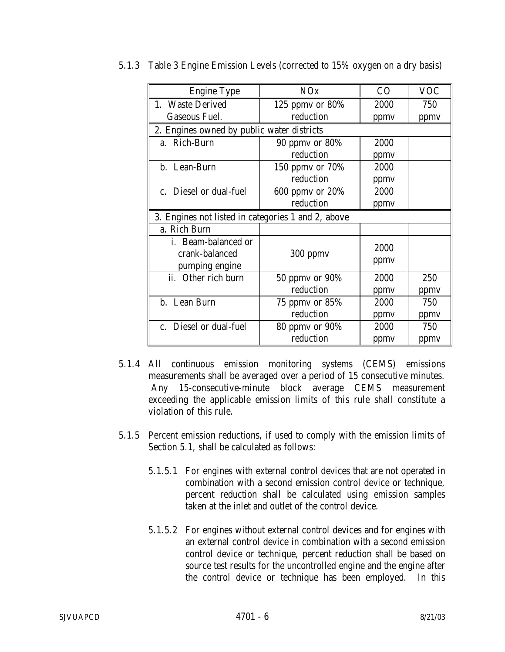| <b>Engine Type</b>                                 | NOx                                        | CO   | <b>VOC</b> |  |  |
|----------------------------------------------------|--------------------------------------------|------|------------|--|--|
| 1. Waste Derived                                   | 125 ppmy or $80\%$                         | 2000 | 750        |  |  |
| <b>Gaseous Fuel.</b>                               | reduction                                  | ppmy | ppmy       |  |  |
|                                                    | 2. Engines owned by public water districts |      |            |  |  |
| a. Rich-Burn                                       | 2000<br>90 ppmy or $80\%$                  |      |            |  |  |
|                                                    | reduction                                  | ppmv |            |  |  |
| b. Lean-Burn                                       | 150 ppmy or 70%                            | 2000 |            |  |  |
|                                                    | reduction                                  | ppmv |            |  |  |
| c. Diesel or dual-fuel                             | 600 ppmy or 20%                            | 2000 |            |  |  |
|                                                    | reduction                                  | ppmy |            |  |  |
| 3. Engines not listed in categories 1 and 2, above |                                            |      |            |  |  |
| a. Rich Burn                                       |                                            |      |            |  |  |
| i. Beam-balanced or                                |                                            | 2000 |            |  |  |
| crank-balanced                                     | 300 ppmv                                   | ppmy |            |  |  |
| pumping engine                                     |                                            |      |            |  |  |
| ii. Other rich burn                                | 50 ppmv or 90%                             | 2000 | 250        |  |  |
|                                                    | reduction                                  | ppmy | ppmv       |  |  |
| b. Lean Burn                                       | 75 ppmy or 85%                             | 2000 | 750        |  |  |
|                                                    | reduction                                  | ppmv | ppmy       |  |  |
| c. Diesel or dual-fuel                             | 80 ppmy or 90%                             | 2000 | 750        |  |  |
|                                                    | reduction                                  | ppmy | ppmv       |  |  |

5.1.3 Table 3 Engine Emission Levels (corrected to 15% oxygen on a dry basis)

- 5.1.4 All continuous emission monitoring systems (CEMS) emissions measurements shall be averaged over a period of 15 consecutive minutes. Any 15-consecutive-minute block average CEMS measurement exceeding the applicable emission limits of this rule shall constitute a violation of this rule.
- 5.1.5 Percent emission reductions, if used to comply with the emission limits of Section 5.1, shall be calculated as follows:
	- 5.1.5.1 For engines with external control devices that are not operated in combination with a second emission control device or technique, percent reduction shall be calculated using emission samples taken at the inlet and outlet of the control device.
	- 5.1.5.2 For engines without external control devices and for engines with an external control device in combination with a second emission control device or technique, percent reduction shall be based on source test results for the uncontrolled engine and the engine after the control device or technique has been employed. In this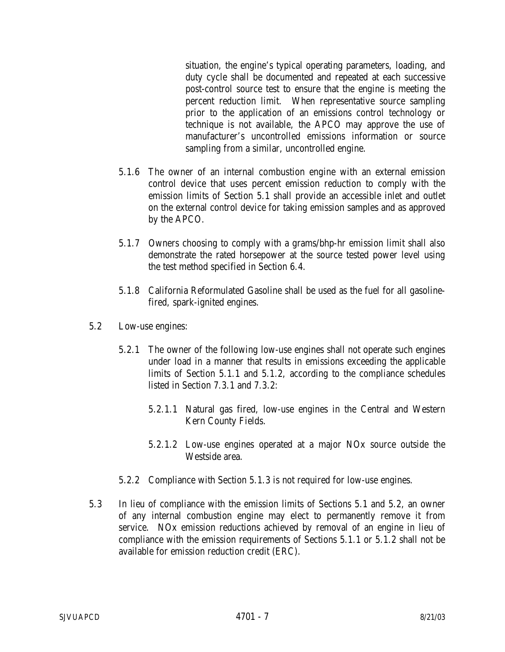situation, the engine's typical operating parameters, loading, and duty cycle shall be documented and repeated at each successive post-control source test to ensure that the engine is meeting the percent reduction limit. When representative source sampling prior to the application of an emissions control technology or technique is not available, the APCO may approve the use of manufacturer's uncontrolled emissions information or source sampling from a similar, uncontrolled engine.

- 5.1.6 The owner of an internal combustion engine with an external emission control device that uses percent emission reduction to comply with the emission limits of Section 5.1 shall provide an accessible inlet and outlet on the external control device for taking emission samples and as approved by the APCO.
- 5.1.7 Owners choosing to comply with a grams/bhp-hr emission limit shall also demonstrate the rated horsepower at the source tested power level using the test method specified in Section 6.4.
- 5.1.8 California Reformulated Gasoline shall be used as the fuel for all gasolinefired, spark-ignited engines.
- 5.2 Low-use engines:
	- 5.2.1 The owner of the following low-use engines shall not operate such engines under load in a manner that results in emissions exceeding the applicable limits of Section 5.1.1 and 5.1.2, according to the compliance schedules listed in Section 7.3.1 and 7.3.2:
		- 5.2.1.1 Natural gas fired, low-use engines in the Central and Western Kern County Fields.
		- 5.2.1.2 Low-use engines operated at a major NOx source outside the Westside area.
	- 5.2.2 Compliance with Section 5.1.3 is not required for low-use engines.
- 5.3 In lieu of compliance with the emission limits of Sections 5.1 and 5.2, an owner of any internal combustion engine may elect to permanently remove it from service. NOx emission reductions achieved by removal of an engine in lieu of compliance with the emission requirements of Sections 5.1.1 or 5.1.2 shall not be available for emission reduction credit (ERC).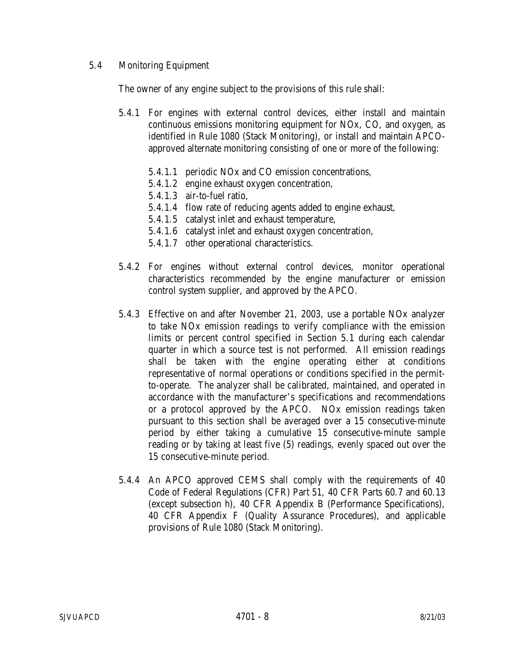## 5.4 Monitoring Equipment

The owner of any engine subject to the provisions of this rule shall:

- 5.4.1 For engines with external control devices, either install and maintain continuous emissions monitoring equipment for NOx, CO, and oxygen, as identified in Rule 1080 (Stack Monitoring), or install and maintain APCOapproved alternate monitoring consisting of one or more of the following:
	- 5.4.1.1 periodic NOx and CO emission concentrations,
	- 5.4.1.2 engine exhaust oxygen concentration,
	- 5.4.1.3 air-to-fuel ratio,
	- 5.4.1.4 flow rate of reducing agents added to engine exhaust,
	- 5.4.1.5 catalyst inlet and exhaust temperature,
	- 5.4.1.6 catalyst inlet and exhaust oxygen concentration,
	- 5.4.1.7 other operational characteristics.
- 5.4.2 For engines without external control devices, monitor operational characteristics recommended by the engine manufacturer or emission control system supplier, and approved by the APCO.
- 5.4.3 Effective on and after November 21, 2003, use a portable NOx analyzer to take NOx emission readings to verify compliance with the emission limits or percent control specified in Section 5.1 during each calendar quarter in which a source test is not performed. All emission readings shall be taken with the engine operating either at conditions representative of normal operations or conditions specified in the permitto-operate. The analyzer shall be calibrated, maintained, and operated in accordance with the manufacturer's specifications and recommendations or a protocol approved by the APCO. NOx emission readings taken pursuant to this section shall be averaged over a 15 consecutive-minute period by either taking a cumulative 15 consecutive-minute sample reading or by taking at least five (5) readings, evenly spaced out over the 15 consecutive-minute period.
- 5.4.4 An APCO approved CEMS shall comply with the requirements of 40 Code of Federal Regulations (CFR) Part 51, 40 CFR Parts 60.7 and 60.13 (except subsection h), 40 CFR Appendix B (Performance Specifications), 40 CFR Appendix F (Quality Assurance Procedures), and applicable provisions of Rule 1080 (Stack Monitoring).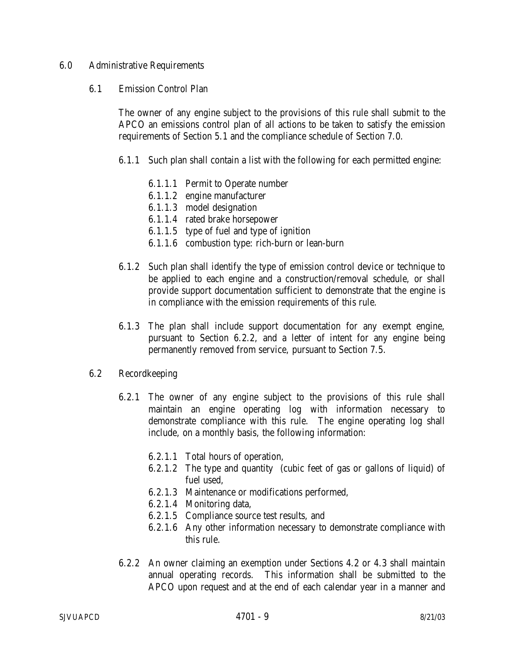#### 6.0 Administrative Requirements

#### 6.1 Emission Control Plan

The owner of any engine subject to the provisions of this rule shall submit to the APCO an emissions control plan of all actions to be taken to satisfy the emission requirements of Section 5.1 and the compliance schedule of Section 7.0.

- 6.1.1 Such plan shall contain a list with the following for each permitted engine:
	- 6.1.1.1 Permit to Operate number
	- 6.1.1.2 engine manufacturer
	- 6.1.1.3 model designation
	- 6.1.1.4 rated brake horsepower
	- 6.1.1.5 type of fuel and type of ignition
	- 6.1.1.6 combustion type: rich-burn or lean-burn
- 6.1.2 Such plan shall identify the type of emission control device or technique to be applied to each engine and a construction/removal schedule, or shall provide support documentation sufficient to demonstrate that the engine is in compliance with the emission requirements of this rule.
- 6.1.3 The plan shall include support documentation for any exempt engine, pursuant to Section 6.2.2, and a letter of intent for any engine being permanently removed from service, pursuant to Section 7.5.

#### 6.2 Recordkeeping

- 6.2.1 The owner of any engine subject to the provisions of this rule shall maintain an engine operating log with information necessary to demonstrate compliance with this rule. The engine operating log shall include, on a monthly basis, the following information:
	- 6.2.1.1 Total hours of operation,
	- 6.2.1.2 The type and quantity (cubic feet of gas or gallons of liquid) of fuel used,
	- 6.2.1.3 Maintenance or modifications performed,
	- 6.2.1.4 Monitoring data,
	- 6.2.1.5 Compliance source test results, and
	- 6.2.1.6 Any other information necessary to demonstrate compliance with this rule.
- 6.2.2 An owner claiming an exemption under Sections 4.2 or 4.3 shall maintain annual operating records. This information shall be submitted to the APCO upon request and at the end of each calendar year in a manner and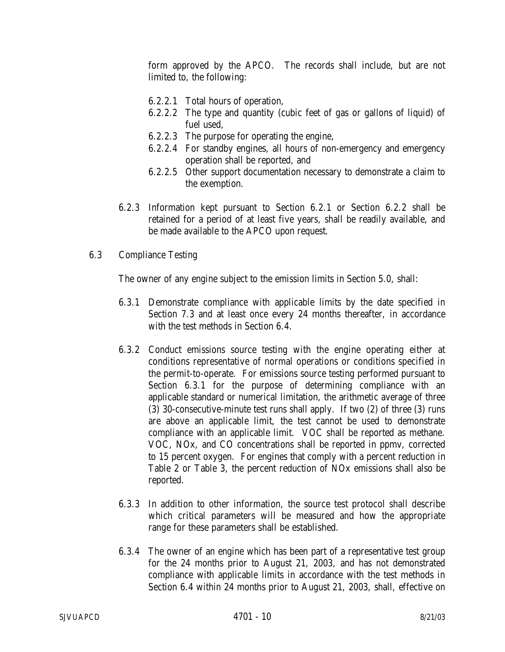form approved by the APCO. The records shall include, but are not limited to, the following:

- 6.2.2.1 Total hours of operation,
- 6.2.2.2 The type and quantity (cubic feet of gas or gallons of liquid) of fuel used,
- 6.2.2.3 The purpose for operating the engine,
- 6.2.2.4 For standby engines, all hours of non-emergency and emergency operation shall be reported, and
- 6.2.2.5 Other support documentation necessary to demonstrate a claim to the exemption.
- 6.2.3 Information kept pursuant to Section 6.2.1 or Section 6.2.2 shall be retained for a period of at least five years, shall be readily available, and be made available to the APCO upon request.

#### 6.3 Compliance Testing

The owner of any engine subject to the emission limits in Section 5.0, shall:

- 6.3.1 Demonstrate compliance with applicable limits by the date specified in Section 7.3 and at least once every 24 months thereafter, in accordance with the test methods in Section 6.4.
- 6.3.2 Conduct emissions source testing with the engine operating either at conditions representative of normal operations or conditions specified in the permit-to-operate. For emissions source testing performed pursuant to Section 6.3.1 for the purpose of determining compliance with an applicable standard or numerical limitation, the arithmetic average of three (3) 30-consecutive-minute test runs shall apply. If two (2) of three (3) runs are above an applicable limit, the test cannot be used to demonstrate compliance with an applicable limit. VOC shall be reported as methane. VOC, NOx, and CO concentrations shall be reported in ppmv, corrected to 15 percent oxygen. For engines that comply with a percent reduction in Table 2 or Table 3, the percent reduction of NOx emissions shall also be reported.
- 6.3.3 In addition to other information, the source test protocol shall describe which critical parameters will be measured and how the appropriate range for these parameters shall be established.
- 6.3.4 The owner of an engine which has been part of a representative test group for the 24 months prior to August 21, 2003, and has not demonstrated compliance with applicable limits in accordance with the test methods in Section 6.4 within 24 months prior to August 21, 2003, shall, effective on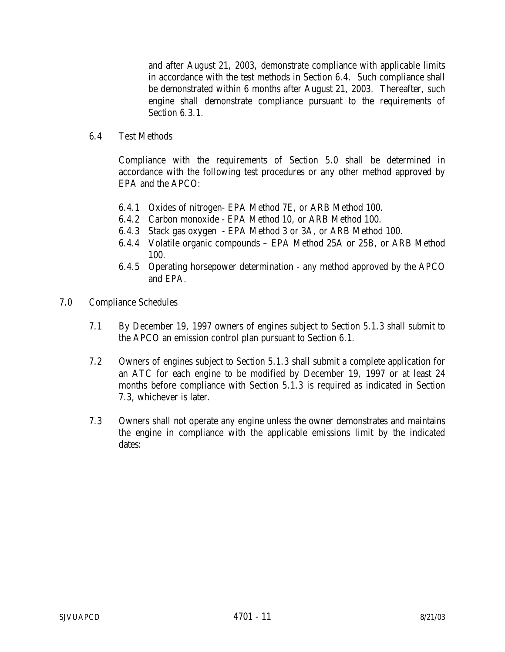and after August 21, 2003, demonstrate compliance with applicable limits in accordance with the test methods in Section 6.4. Such compliance shall be demonstrated within 6 months after August 21, 2003. Thereafter, such engine shall demonstrate compliance pursuant to the requirements of Section 6.3.1.

6.4 Test Methods

Compliance with the requirements of Section 5.0 shall be determined in accordance with the following test procedures or any other method approved by EPA and the APCO:

- 6.4.1 Oxides of nitrogen- EPA Method 7E, or ARB Method 100.
- 6.4.2 Carbon monoxide EPA Method 10, or ARB Method 100.
- 6.4.3 Stack gas oxygen EPA Method 3 or 3A, or ARB Method 100.
- 6.4.4 Volatile organic compounds EPA Method 25A or 25B, or ARB Method 100.
- 6.4.5 Operating horsepower determination any method approved by the APCO and EPA.
- 7.0 Compliance Schedules
	- 7.1 By December 19, 1997 owners of engines subject to Section 5.1.3 shall submit to the APCO an emission control plan pursuant to Section 6.1.
	- 7.2 Owners of engines subject to Section 5.1.3 shall submit a complete application for an ATC for each engine to be modified by December 19, 1997 or at least 24 months before compliance with Section 5.1.3 is required as indicated in Section 7.3, whichever is later.
	- 7.3 Owners shall not operate any engine unless the owner demonstrates and maintains the engine in compliance with the applicable emissions limit by the indicated dates: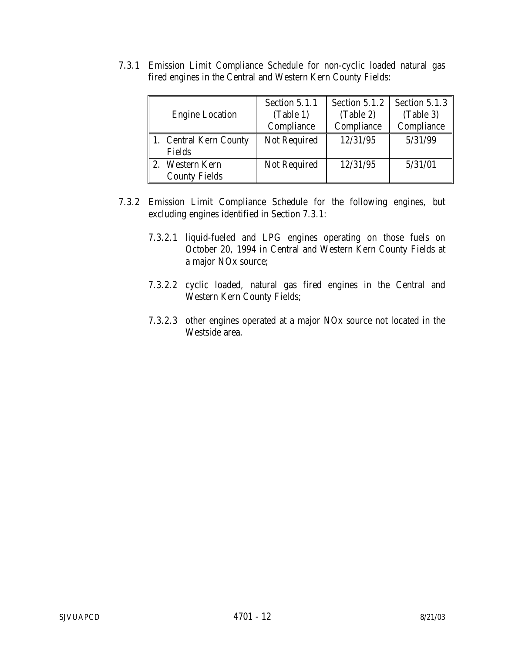|                        | Section 5.1.1       | Section 5.1.2 | Section 5.1.3 |
|------------------------|---------------------|---------------|---------------|
| <b>Engine Location</b> | (Table 1)           | (Table 2)     | (Table 3)     |
|                        | Compliance          | Compliance    | Compliance    |
| 1. Central Kern County | Not Required        | 12/31/95      | 5/31/99       |
| Fields                 |                     |               |               |
| 2. Western Kern        | <b>Not Required</b> | 12/31/95      | 5/31/01       |
| <b>County Fields</b>   |                     |               |               |

7.3.1 Emission Limit Compliance Schedule for non-cyclic loaded natural gas fired engines in the Central and Western Kern County Fields:

- 7.3.2 Emission Limit Compliance Schedule for the following engines, but excluding engines identified in Section 7.3.1:
	- 7.3.2.1 liquid-fueled and LPG engines operating on those fuels on October 20, 1994 in Central and Western Kern County Fields at a major NOx source;
	- 7.3.2.2 cyclic loaded, natural gas fired engines in the Central and Western Kern County Fields;
	- 7.3.2.3 other engines operated at a major NOx source not located in the Westside area.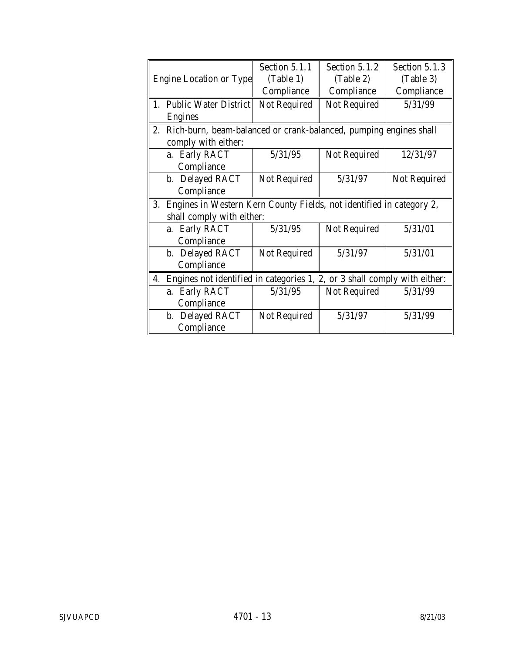|                                                                                 | Section 5.1.1       | Section 5.1.2 | Section 5.1.3 |
|---------------------------------------------------------------------------------|---------------------|---------------|---------------|
| <b>Engine Location or Type</b>                                                  | (Table 1)           | (Table 2)     | (Table 3)     |
|                                                                                 | Compliance          | Compliance    | Compliance    |
| 1. Public Water District                                                        | Not Required        | Not Required  | 5/31/99       |
| <b>Engines</b>                                                                  |                     |               |               |
| 2. Rich-burn, beam-balanced or crank-balanced, pumping engines shall            |                     |               |               |
| comply with either:                                                             |                     |               |               |
| a. Early RACT                                                                   | 5/31/95             | Not Required  | 12/31/97      |
| Compliance                                                                      |                     |               |               |
| b. Delayed RACT                                                                 | Not Required        | 5/31/97       | Not Required  |
| Compliance                                                                      |                     |               |               |
| Engines in Western Kern County Fields, not identified in category 2,<br>3.      |                     |               |               |
| shall comply with either:                                                       |                     |               |               |
| a. Early RACT                                                                   | 5/31/95             | Not Required  | 5/31/01       |
| Compliance                                                                      |                     |               |               |
| b. Delayed RACT                                                                 | <b>Not Required</b> | 5/31/97       | 5/31/01       |
| Compliance                                                                      |                     |               |               |
| Engines not identified in categories 1, 2, or 3 shall comply with either:<br>4. |                     |               |               |
| a. Early RACT                                                                   | 5/31/95             | Not Required  | 5/31/99       |
| Compliance                                                                      |                     |               |               |
| b. Delayed RACT                                                                 | <b>Not Required</b> | 5/31/97       | 5/31/99       |
| Compliance                                                                      |                     |               |               |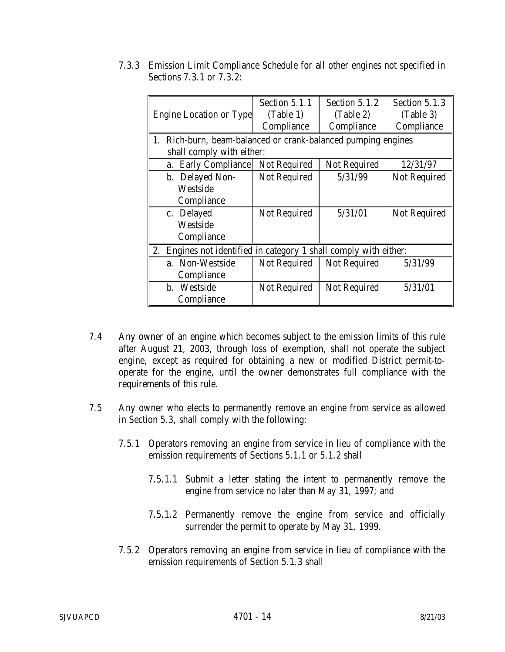|                                                                      | Section 5.1.1       | Section 5.1.2       | Section 5.1.3 |
|----------------------------------------------------------------------|---------------------|---------------------|---------------|
| <b>Engine Location or Type</b>                                       | (Table 1)           | (Table 2)           | (Table 3)     |
|                                                                      | Compliance          | Compliance          | Compliance    |
| 1.<br>Rich-burn, beam-balanced or crank-balanced pumping engines     |                     |                     |               |
| shall comply with either:                                            |                     |                     |               |
| a. Early Compliance                                                  | Not Required        | <b>Not Required</b> | 12/31/97      |
| b. Delayed Non-                                                      | Not Required        | 5/31/99             | Not Required  |
| Westside                                                             |                     |                     |               |
| Compliance                                                           |                     |                     |               |
| c. Delayed                                                           | <b>Not Required</b> | 5/31/01             | Not Required  |
| Westside                                                             |                     |                     |               |
| Compliance                                                           |                     |                     |               |
| 2.<br>Engines not identified in category 1 shall comply with either: |                     |                     |               |
| a. Non-Westside                                                      | <b>Not Required</b> | Not Required        | 5/31/99       |
| Compliance                                                           |                     |                     |               |
| b. Westside                                                          | <b>Not Required</b> | Not Required        | 5/31/01       |
| Compliance                                                           |                     |                     |               |

7.3.3 Emission Limit Compliance Schedule for all other engines not specified in Sections 7.3.1 or 7.3.2:

- 7.4 Any owner of an engine which becomes subject to the emission limits of this rule after August 21, 2003, through loss of exemption, shall not operate the subject engine, except as required for obtaining a new or modified District permit-tooperate for the engine, until the owner demonstrates full compliance with the requirements of this rule.
- 7.5 Any owner who elects to permanently remove an engine from service as allowed in Section 5.3, shall comply with the following:
	- 7.5.1 Operators removing an engine from service in lieu of compliance with the emission requirements of Sections 5.1.1 or 5.1.2 shall
		- 7.5.1.1 Submit a letter stating the intent to permanently remove the engine from service no later than May 31, 1997; and
		- 7.5.1.2 Permanently remove the engine from service and officially surrender the permit to operate by May 31, 1999.
	- 7.5.2 Operators removing an engine from service in lieu of compliance with the emission requirements of Section 5.1.3 shall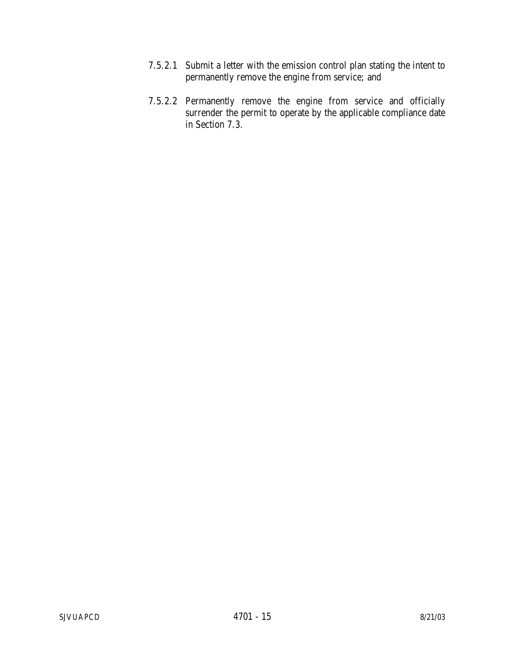- 7.5.2.1 Submit a letter with the emission control plan stating the intent to permanently remove the engine from service; and
- 7.5.2.2 Permanently remove the engine from service and officially surrender the permit to operate by the applicable compliance date in Section 7.3.